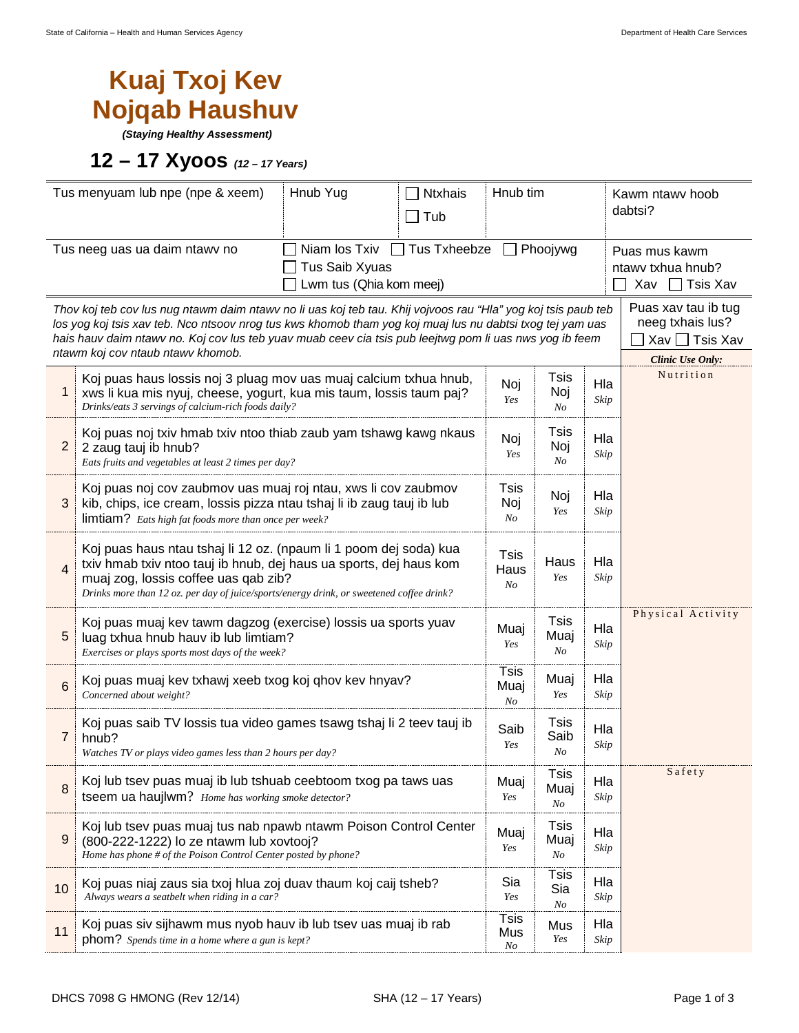## **Kuaj Txoj Kev Nojqab Haushuv**

*(Staying Healthy Assessment)*

## **12 – 17 Xyoos** *(12 – 17 Years)*

| Tus menyuam lub npe (npe & xeem)                                                                                                                                                                                                                                                                                                                                           |                                                                                                                                                                                                                                                                             | Hnub Yug                | <b>Ntxhais</b><br>$\Box$ Tub | Hnub tim          |                             |                                                                | Kawm ntawv hoob<br>dabtsi?                                                           |  |
|----------------------------------------------------------------------------------------------------------------------------------------------------------------------------------------------------------------------------------------------------------------------------------------------------------------------------------------------------------------------------|-----------------------------------------------------------------------------------------------------------------------------------------------------------------------------------------------------------------------------------------------------------------------------|-------------------------|------------------------------|-------------------|-----------------------------|----------------------------------------------------------------|--------------------------------------------------------------------------------------|--|
| Niam los Txiv □ Tus Txheebze<br>Tus neeg uas ua daim ntawy no<br>Phoojywg<br>Tus Saib Xyuas<br>Lwm tus (Qhia kom meej)                                                                                                                                                                                                                                                     |                                                                                                                                                                                                                                                                             |                         |                              |                   |                             | Puas mus kawm<br>ntawy txhua hnub?<br>$\chi_{\rm av}$ Tsis Xav |                                                                                      |  |
| Thov koj teb cov lus nug ntawm daim ntawv no li uas koj teb tau. Khij vojvoos rau "Hla" yog koj tsis paub teb<br>los yog koj tsis xav teb. Nco ntsoov nrog tus kws khomob tham yog koj muaj lus nu dabtsi txog tej yam uas<br>hais hauv daim ntawv no. Koj cov lus teb yuav muab ceev cia tsis pub leejtwg pom li uas nws yog ib feem<br>ntawm koj cov ntaub ntawv khomob. |                                                                                                                                                                                                                                                                             |                         |                              |                   |                             |                                                                | Puas xav tau ib tug<br>neeg txhais lus?<br>Xav □ Tsis Xav<br><b>Clinic Use Only:</b> |  |
| 1                                                                                                                                                                                                                                                                                                                                                                          | Koj puas haus lossis noj 3 pluag mov uas muaj calcium txhua hnub,<br>xws li kua mis nyuj, cheese, yogurt, kua mis taum, lossis taum paj?<br>Drinks/eats 3 servings of calcium-rich foods daily?                                                                             |                         |                              |                   | Tsis<br>Noj<br>No           | Hla<br>Skip                                                    | Nutrition                                                                            |  |
| $\overline{2}$                                                                                                                                                                                                                                                                                                                                                             | Koj puas noj txiv hmab txiv ntoo thiab zaub yam tshawg kawg nkaus<br>2 zaug tauj ib hnub?<br>Eats fruits and vegetables at least 2 times per day?                                                                                                                           |                         |                              |                   | Tsis<br>Noj<br>No           | Hla<br>Skip                                                    |                                                                                      |  |
| 3                                                                                                                                                                                                                                                                                                                                                                          | Koj puas noj cov zaubmov uas muaj roj ntau, xws li cov zaubmov<br>kib, chips, ice cream, lossis pizza ntau tshaj li ib zaug tauj ib lub<br>limtiam? Eats high fat foods more than once per week?                                                                            | Tsis<br>Noj<br>No       | Noj<br>Yes                   | Hla<br>Skip       |                             |                                                                |                                                                                      |  |
| 4                                                                                                                                                                                                                                                                                                                                                                          | Koj puas haus ntau tshaj li 12 oz. (npaum li 1 poom dej soda) kua<br>txiv hmab txiv ntoo tauj ib hnub, dej haus ua sports, dej haus kom<br>muaj zog, lossis coffee uas qab zib?<br>Drinks more than 12 oz. per day of juice/sports/energy drink, or sweetened coffee drink? | Tsis<br>Haus<br>$N_{O}$ | Haus<br>Yes                  | Hla<br>Skip       |                             |                                                                |                                                                                      |  |
| 5                                                                                                                                                                                                                                                                                                                                                                          | Koj puas muaj kev tawm dagzog (exercise) lossis ua sports yuav<br>luag txhua hnub hauv ib lub limtiam?<br>Exercises or plays sports most days of the week?                                                                                                                  |                         |                              | Muaj<br>Yes       | Tsis<br>Muaj<br>No          | Hla<br>Skip                                                    | Physical Activity                                                                    |  |
| 6                                                                                                                                                                                                                                                                                                                                                                          | Koj puas muaj kev txhawj xeeb txog koj qhov kev hnyav?<br>Concerned about weight?                                                                                                                                                                                           |                         |                              |                   | Muaj<br>Yes                 | Hla<br>Skip                                                    |                                                                                      |  |
| 7                                                                                                                                                                                                                                                                                                                                                                          | Koj puas saib TV lossis tua video games tsawg tshaj li 2 teev tauj ib<br>hnub?<br>Watches TV or plays video games less than 2 hours per day?                                                                                                                                |                         |                              | Saib<br>Yes       | Tsis<br>Saib<br>No          | Hla<br>Skip                                                    |                                                                                      |  |
| 8                                                                                                                                                                                                                                                                                                                                                                          | Koj lub tsev puas muaj ib lub tshuab ceebtoom txog pa taws uas<br>tseem ua haujlwm? Home has working smoke detector?                                                                                                                                                        |                         |                              | Muaj<br>Yes       | Tsis<br>Muaj<br>No          | Hla<br>Skip                                                    | Safety                                                                               |  |
| 9                                                                                                                                                                                                                                                                                                                                                                          | Koj lub tsev puas muaj tus nab npawb ntawm Poison Control Center<br>(800-222-1222) lo ze ntawm lub xovtooj?<br>Home has phone # of the Poison Control Center posted by phone?                                                                                               |                         |                              |                   | Tsis<br>Muaj<br>No          | Hla<br>Skip                                                    |                                                                                      |  |
| 10                                                                                                                                                                                                                                                                                                                                                                         | Koj puas niaj zaus sia txoj hlua zoj duav thaum koj caij tsheb?<br>Always wears a seatbelt when riding in a car?                                                                                                                                                            |                         |                              |                   | <b>Tsis</b><br>Sia<br>$N$ o | Hla<br>Skip                                                    |                                                                                      |  |
| 11                                                                                                                                                                                                                                                                                                                                                                         | Koj puas siv sijhawm mus nyob hauv ib lub tsev uas muaj ib rab<br>phom? Spends time in a home where a gun is kept?                                                                                                                                                          |                         |                              | Tsis<br>Mus<br>No | Mus<br>Yes                  | Hla<br>Skip                                                    |                                                                                      |  |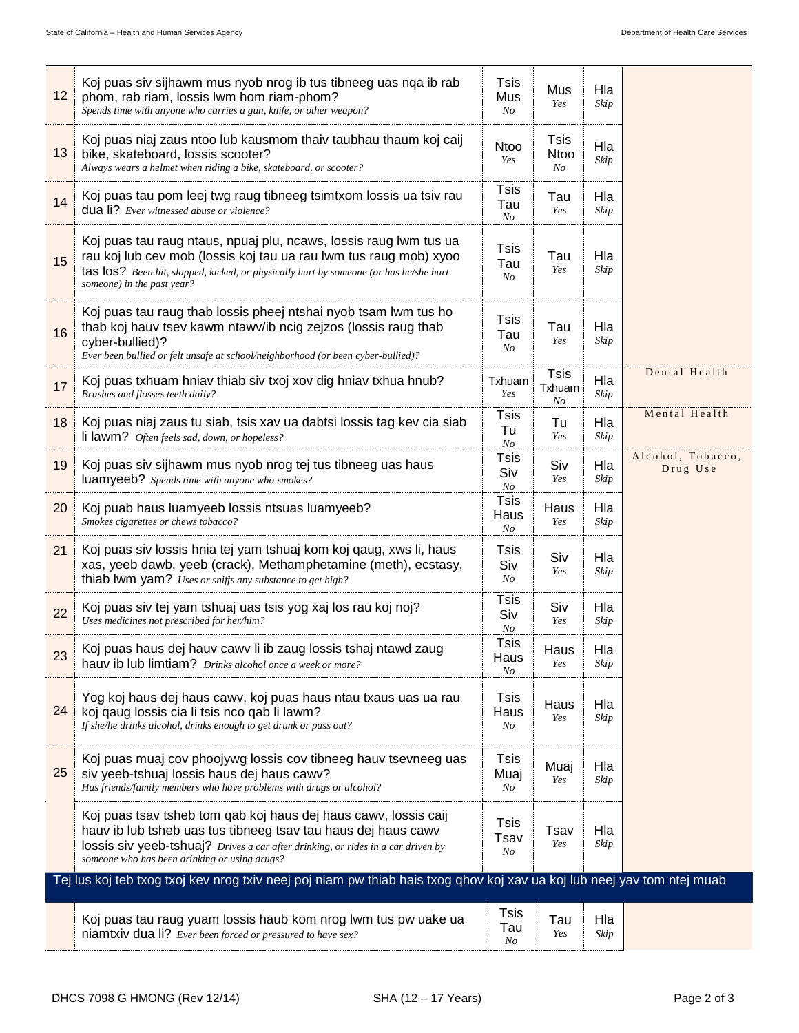| $12 \overline{ }$                                                                                                       | Koj puas siv sijhawm mus nyob nrog ib tus tibneeg uas nqa ib rab<br>phom, rab riam, lossis lwm hom riam-phom?<br>Spends time with anyone who carries a gun, knife, or other weapon?                                                                                   | Tsis<br>Mus<br>No                     | Mus<br>Yes                  | Hla<br>Skip |                               |  |
|-------------------------------------------------------------------------------------------------------------------------|-----------------------------------------------------------------------------------------------------------------------------------------------------------------------------------------------------------------------------------------------------------------------|---------------------------------------|-----------------------------|-------------|-------------------------------|--|
| 13                                                                                                                      | Koj puas niaj zaus ntoo lub kausmom thaiv taubhau thaum koj caij<br>bike, skateboard, lossis scooter?<br>Always wears a helmet when riding a bike, skateboard, or scooter?                                                                                            | Ntoo<br>Yes                           | Tsis<br><b>Ntoo</b><br>No   | Hla<br>Skip |                               |  |
| 14                                                                                                                      | Koj puas tau pom leej twg raug tibneeg tsimtxom lossis ua tsiv rau<br>dua li? Ever witnessed abuse or violence?                                                                                                                                                       | Tsis<br>Tau<br>No                     | Tau<br>Yes                  | Hla<br>Skip |                               |  |
| 15                                                                                                                      | Koj puas tau raug ntaus, npuaj plu, ncaws, lossis raug lwm tus ua<br>rau koj lub cev mob (lossis koj tau ua rau lwm tus raug mob) xyoo<br>tas los? Been hit, slapped, kicked, or physically hurt by someone (or has he/she hurt<br>someone) in the past year?         | Tsis<br>Tau<br>No                     | Tau<br>Yes                  | Hla<br>Skip |                               |  |
| 16                                                                                                                      | Koj puas tau raug thab lossis pheej ntshai nyob tsam lwm tus ho<br>thab koj hauv tsev kawm ntawv/ib ncig zejzos (lossis raug thab<br>cyber-bullied)?<br>Ever been bullied or felt unsafe at school/neighborhood (or been cyber-bullied)?                              | Tsis<br>Tau<br>No                     | Tau<br>Yes                  | Hla<br>Skip |                               |  |
| 17                                                                                                                      | Koj puas txhuam hniav thiab siv txoj xov dig hniav txhua hnub?<br>Brushes and flosses teeth daily?                                                                                                                                                                    | Txhuam<br>Yes                         | <b>Tsis</b><br>Txhuam<br>No | Hla<br>Skip | Dental Health                 |  |
| 18                                                                                                                      | Koj puas niaj zaus tu siab, tsis xav ua dabtsi lossis tag kev cia siab<br>li lawm? Often feels sad, down, or hopeless?                                                                                                                                                | Tsis<br>Tu<br>N <sub>O</sub>          | Tu<br>Yes                   | Hla<br>Skip | Mental Health                 |  |
| 19                                                                                                                      | Koj puas siv sijhawm mus nyob nrog tej tus tibneeg uas haus<br>luamyeeb? Spends time with anyone who smokes?                                                                                                                                                          | Tsis<br>Siv<br>No                     | Siv<br>Yes                  | Hla<br>Skip | Alcohol, Tobacco,<br>Drug Use |  |
| 20                                                                                                                      | Koj puab haus luamyeeb lossis ntsuas luamyeeb?<br>Smokes cigarettes or chews tobacco?                                                                                                                                                                                 | Tsis<br>Haus<br>$N_{O}$               | Haus<br>Yes                 | Hla<br>Skip |                               |  |
| 21                                                                                                                      | Koj puas siv lossis hnia tej yam tshuaj kom koj qaug, xws li, haus<br>xas, yeeb dawb, yeeb (crack), Methamphetamine (meth), ecstasy,<br>thiab lwm yam? Uses or sniffs any substance to get high?                                                                      | Tsis<br>Siv<br>No                     | Siv<br>Yes                  | Hla<br>Skip |                               |  |
| 22                                                                                                                      | Koj puas siv tej yam tshuaj uas tsis yog xaj los rau koj noj?<br>Uses medicines not prescribed for her/him?                                                                                                                                                           | <b>Tsis</b><br>Siv<br>No              | Siv<br>Yes                  | Hla<br>Skip |                               |  |
| 23                                                                                                                      | Koj puas haus dej hauv cawv li ib zaug lossis tshaj ntawd zaug<br>hauv ib lub limtiam? Drinks alcohol once a week or more?                                                                                                                                            | <b>Tsis</b><br>Haus<br>No             | Haus<br>Yes                 | Hla<br>Skip |                               |  |
| 24                                                                                                                      | Yog koj haus dej haus cawv, koj puas haus ntau txaus uas ua rau<br>koj gaug lossis cia li tsis nco gab li lawm?<br>If she/he drinks alcohol, drinks enough to get drunk or pass out?                                                                                  | Tsis<br>Haus<br>No                    | Haus<br>Yes                 | Hla<br>Skip |                               |  |
| 25                                                                                                                      | Koj puas muaj cov phoojywg lossis cov tibneeg hauv tsevneeg uas<br>siv yeeb-tshuaj lossis haus dej haus cawv?<br>Has friends/family members who have problems with drugs or alcohol?                                                                                  | <b>Tsis</b><br>Muaj<br>N <sub>O</sub> | Muaj<br>Yes                 | Hla<br>Skip |                               |  |
|                                                                                                                         | Koj puas tsav tsheb tom qab koj haus dej haus cawv, lossis caij<br>hauv ib lub tsheb uas tus tibneeg tsav tau haus dej haus cawv<br>lossis siv yeeb-tshuaj? Drives a car after drinking, or rides in a car driven by<br>someone who has been drinking or using drugs? | Tsis<br>Tsav<br>No                    | Tsav<br>Yes                 | Hla<br>Skip |                               |  |
| Tej lus koj teb txog txoj kev nrog txiv neej poj niam pw thiab hais txog qhov koj xav ua koj lub neej yav tom ntej muab |                                                                                                                                                                                                                                                                       |                                       |                             |             |                               |  |
|                                                                                                                         | Koj puas tau raug yuam lossis haub kom nrog lwm tus pw uake ua<br>niamtxiv dua li? Ever been forced or pressured to have sex?                                                                                                                                         | Tsis<br>Tau<br>No                     | Tau<br>Yes                  | Hla<br>Skip |                               |  |